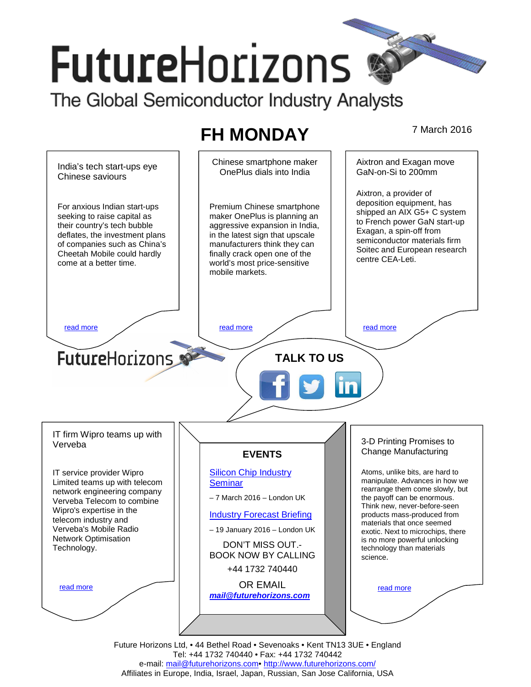# **FutureHorizons**

The Global Semiconductor Industry Analysts

# **FH MONDAY** 7 March 2016



Future Horizons Ltd, • 44 Bethel Road • Sevenoaks • Kent TN13 3UE • England Tel: +44 1732 740440 • Fax: +44 1732 740442 e-mail: mail@futurehorizons.com• http://www.futurehorizons.com/ Affiliates in Europe, India, Israel, Japan, Russian, San Jose California, USA